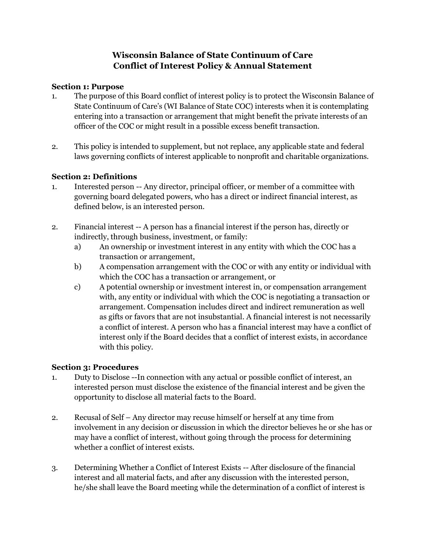# **Wisconsin Balance of State Continuum of Care Conflict of Interest Policy & Annual Statement**

## **Section 1: Purpose**

- 1. The purpose of this Board conflict of interest policy is to protect the Wisconsin Balance of State Continuum of Care's (WI Balance of State COC) interests when it is contemplating entering into a transaction or arrangement that might benefit the private interests of an officer of the COC or might result in a possible excess benefit transaction.
- 2. This policy is intended to supplement, but not replace, any applicable state and federal laws governing conflicts of interest applicable to nonprofit and charitable organizations.

## **Section 2: Definitions**

- 1. Interested person -- Any director, principal officer, or member of a committee with governing board delegated powers, who has a direct or indirect financial interest, as defined below, is an interested person.
- 2. Financial interest -- A person has a financial interest if the person has, directly or indirectly, through business, investment, or family:
	- a) An ownership or investment interest in any entity with which the COC has a transaction or arrangement,
	- b) A compensation arrangement with the COC or with any entity or individual with which the COC has a transaction or arrangement, or
	- c) A potential ownership or investment interest in, or compensation arrangement with, any entity or individual with which the COC is negotiating a transaction or arrangement. Compensation includes direct and indirect remuneration as well as gifts or favors that are not insubstantial. A financial interest is not necessarily a conflict of interest. A person who has a financial interest may have a conflict of interest only if the Board decides that a conflict of interest exists, in accordance with this policy.

## **Section 3: Procedures**

- 1. Duty to Disclose --In connection with any actual or possible conflict of interest, an interested person must disclose the existence of the financial interest and be given the opportunity to disclose all material facts to the Board.
- 2. Recusal of Self Any director may recuse himself or herself at any time from involvement in any decision or discussion in which the director believes he or she has or may have a conflict of interest, without going through the process for determining whether a conflict of interest exists.
- 3. Determining Whether a Conflict of Interest Exists -- After disclosure of the financial interest and all material facts, and after any discussion with the interested person, he/she shall leave the Board meeting while the determination of a conflict of interest is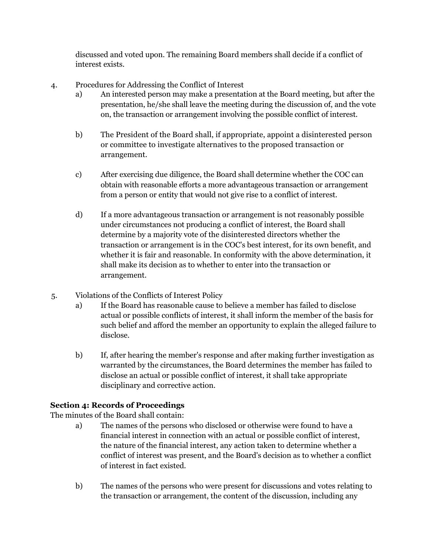discussed and voted upon. The remaining Board members shall decide if a conflict of interest exists.

- 4. Procedures for Addressing the Conflict of Interest
	- a) An interested person may make a presentation at the Board meeting, but after the presentation, he/she shall leave the meeting during the discussion of, and the vote on, the transaction or arrangement involving the possible conflict of interest.
	- b) The President of the Board shall, if appropriate, appoint a disinterested person or committee to investigate alternatives to the proposed transaction or arrangement.
	- c) After exercising due diligence, the Board shall determine whether the COC can obtain with reasonable efforts a more advantageous transaction or arrangement from a person or entity that would not give rise to a conflict of interest.
	- d) If a more advantageous transaction or arrangement is not reasonably possible under circumstances not producing a conflict of interest, the Board shall determine by a majority vote of the disinterested directors whether the transaction or arrangement is in the COC's best interest, for its own benefit, and whether it is fair and reasonable. In conformity with the above determination, it shall make its decision as to whether to enter into the transaction or arrangement.
- 5. Violations of the Conflicts of Interest Policy
	- a) If the Board has reasonable cause to believe a member has failed to disclose actual or possible conflicts of interest, it shall inform the member of the basis for such belief and afford the member an opportunity to explain the alleged failure to disclose.
	- b) If, after hearing the member's response and after making further investigation as warranted by the circumstances, the Board determines the member has failed to disclose an actual or possible conflict of interest, it shall take appropriate disciplinary and corrective action.

# **Section 4: Records of Proceedings**

The minutes of the Board shall contain:

- a) The names of the persons who disclosed or otherwise were found to have a financial interest in connection with an actual or possible conflict of interest, the nature of the financial interest, any action taken to determine whether a conflict of interest was present, and the Board's decision as to whether a conflict of interest in fact existed.
- b) The names of the persons who were present for discussions and votes relating to the transaction or arrangement, the content of the discussion, including any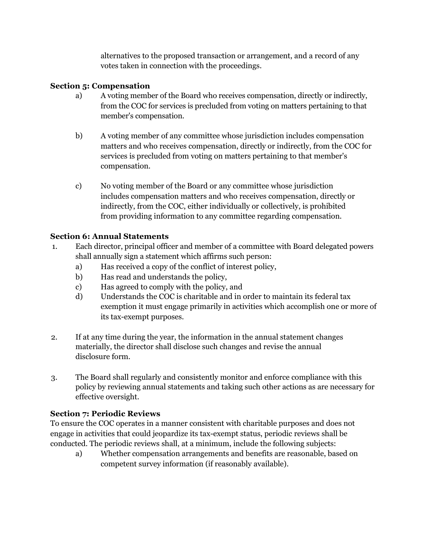alternatives to the proposed transaction or arrangement, and a record of any votes taken in connection with the proceedings.

## **Section 5: Compensation**

- a) A voting member of the Board who receives compensation, directly or indirectly, from the COC for services is precluded from voting on matters pertaining to that member's compensation.
- b) A voting member of any committee whose jurisdiction includes compensation matters and who receives compensation, directly or indirectly, from the COC for services is precluded from voting on matters pertaining to that member's compensation.
- c) No voting member of the Board or any committee whose jurisdiction includes compensation matters and who receives compensation, directly or indirectly, from the COC, either individually or collectively, is prohibited from providing information to any committee regarding compensation.

# **Section 6: Annual Statements**

- 1. Each director, principal officer and member of a committee with Board delegated powers shall annually sign a statement which affirms such person:
	- a) Has received a copy of the conflict of interest policy,
	- b) Has read and understands the policy,
	- c) Has agreed to comply with the policy, and
	- d) Understands the COC is charitable and in order to maintain its federal tax exemption it must engage primarily in activities which accomplish one or more of its tax-exempt purposes.
- 2. If at any time during the year, the information in the annual statement changes materially, the director shall disclose such changes and revise the annual disclosure form.
- 3. The Board shall regularly and consistently monitor and enforce compliance with this policy by reviewing annual statements and taking such other actions as are necessary for effective oversight.

# **Section 7: Periodic Reviews**

To ensure the COC operates in a manner consistent with charitable purposes and does not engage in activities that could jeopardize its tax-exempt status, periodic reviews shall be conducted. The periodic reviews shall, at a minimum, include the following subjects:

a) Whether compensation arrangements and benefits are reasonable, based on competent survey information (if reasonably available).